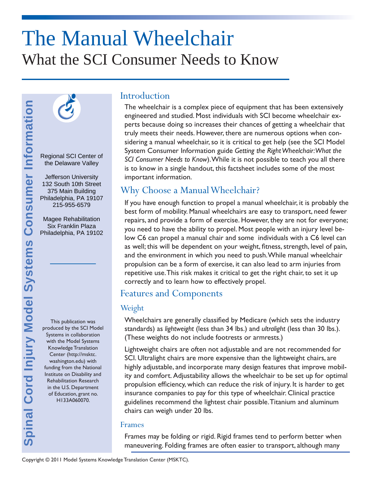# The Manual Wheelchair What the SCI Consumer Needs to Know



Regional SCI Center of the Delaware Valley

Jefferson University 132 South 10th Street 375 Main Building Philadelphia, PA 19107 215-955-6579

Magee Rehabilitation Six Franklin Plaza Philadelphia, PA 19102

This publication was produced by the SCI Model Systems in collaboration with the Model Systems Knowledge Translation Center (http://msktc. washington.edu) with funding from the National Institute on Disability and Rehabilitation Research in the U.S. Department of Education, grant no. H133A060070.

## **Introduction**

The wheelchair is a complex piece of equipment that has been extensively engineered and studied. Most individuals with SCI become wheelchair experts because doing so increases their chances of getting a wheelchair that truly meets their needs. However, there are numerous options when considering a manual wheelchair, so it is critical to get help (see the SCI Model System Consumer Information guide *Getting the Right Wheelchair: What the SCI Consumer Needs to Know*). While it is not possible to teach you all there is to know in a single handout, this factsheet includes some of the most important information.

## Why Choose a Manual Wheelchair?

If you have enough function to propel a manual wheelchair, it is probably the best form of mobility. Manual wheelchairs are easy to transport, need fewer repairs, and provide a form of exercise. However, they are not for everyone; you need to have the ability to propel. Most people with an injury level below C6 can propel a manual chair and some individuals with a C6 level can as well; this will be dependent on your weight, fitness, strength, level of pain, and the environment in which you need to push. While manual wheelchair propulsion can be a form of exercise, it can also lead to arm injuries from repetitive use. This risk makes it critical to get the right chair, to set it up correctly and to learn how to effectively propel.

## Features and Components

## Weight

Wheelchairs are generally classified by Medicare (which sets the industry standards) as *lightweight* (less than 34 lbs.) and *ultralight* (less than 30 lbs.). (These weights do not include footrests or armrests.)

Lightweight chairs are often not adjustable and are not recommended for SCI. Ultralight chairs are more expensive than the lightweight chairs, are highly adjustable, and incorporate many design features that improve mobility and comfort. Adjustability allows the wheelchair to be set up for optimal propulsion efficiency, which can reduce the risk of injury. It is harder to get insurance companies to pay for this type of wheelchair. Clinical practice guidelines recommend the lightest chair possible. Titanium and aluminum chairs can weigh under 20 lbs.

#### Frames

Frames may be folding or rigid. Rigid frames tend to perform better when maneuvering. Folding frames are often easier to transport, although many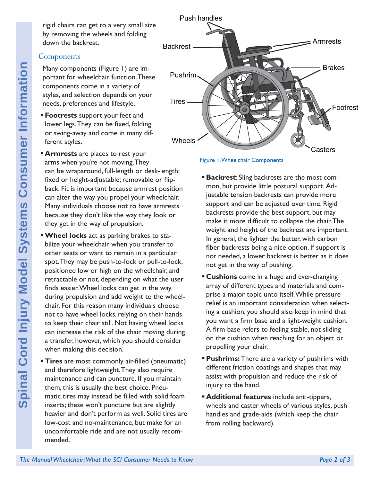rigid chairs can get to a very small size by removing the wheels and folding down the backrest.

#### **Components**

Many components (Figure 1) are important for wheelchair function. These components come in a variety of styles, and selection depends on your needs, preferences and lifestyle.

- **Footrests** support your feet and lower legs. They can be fixed, folding or swing-away and come in many different styles.
- **Armrests** are places to rest your arms when you're not moving. They can be wraparound, full-length or desk-length; fixed or height-adjustable; removable or flipback. Fit is important because armrest position can alter the way you propel your wheelchair. Many individuals choose not to have armrests because they don't like the way they look or they get in the way of propulsion.
- **The Manual Wheelchair function. These**<br> **The Manual Wheelchair function.** These types, and selection depends on your<br> **These Footnests** and lifestigle. **Footnests** component and ifersigle. **The Section And Cordination Wheel locks** act as parking brakes to stabilize your wheelchair when you transfer to other seats or want to remain in a particular spot. They may be push-to-lock or pull-to-lock, positioned low or high on the wheelchair, and retractable or not, depending on what the user finds easier. Wheel locks can get in the way during propulsion and add weight to the wheelchair. For this reason many individuals choose not to have wheel locks, relying on their hands to keep their chair still. Not having wheel locks can increase the risk of the chair moving during a transfer, however, which you should consider when making this decision.
	- **Tires** are most commonly air-filled (pneumatic) and therefore lightweight. They also require maintenance and can puncture. If you maintain them, this is usually the best choice. Pneumatic tires may instead be filled with solid foam inserts; these won't puncture but are slightly heavier and don't perform as well. Solid tires are low-cost and no-maintenance, but make for an uncomfortable ride and are not usually recommended.



Figure 1. Wheelchair Components

- **Backrest:** Sling backrests are the most common, but provide little postural support. Adjustable tension backrests can provide more support and can be adjusted over time. Rigid backrests provide the best support, but may make it more difficult to collapse the chair. The weight and height of the backrest are important. In general, the lighter the better, with carbon fiber backrests being a nice option. If support is not needed, a lower backrest is better as it does not get in the way of pushing.
- **Cushions** come in a huge and ever-changing array of different types and materials and comprise a major topic unto itself. While pressure relief is an important consideration when selecting a cushion, you should also keep in mind that you want a firm base and a light-weight cushion. A firm base refers to feeling stable, not sliding on the cushion when reaching for an object or propelling your chair.
- **Pushrims:** There are a variety of pushrims with different friction coatings and shapes that may assist with propulsion and reduce the risk of injury to the hand.
- **Additional features** include anti-tippers, wheels and caster wheels of various styles, push handles and grade-aids (which keep the chair from rolling backward).